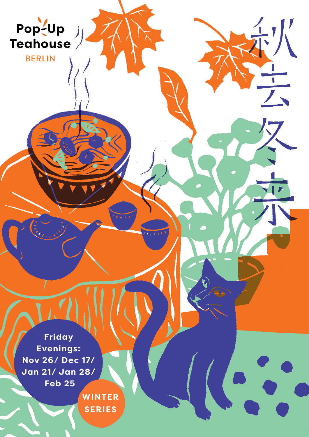

 $\frac{1}{4}$ ,  $\frac{1}{4}$ 

**BERLIN** 

**Friday Evenings: Nov 26/ Dec 17/ Jan 21/ Jan 28/ Feb 25**

> **WINTER SERIES**